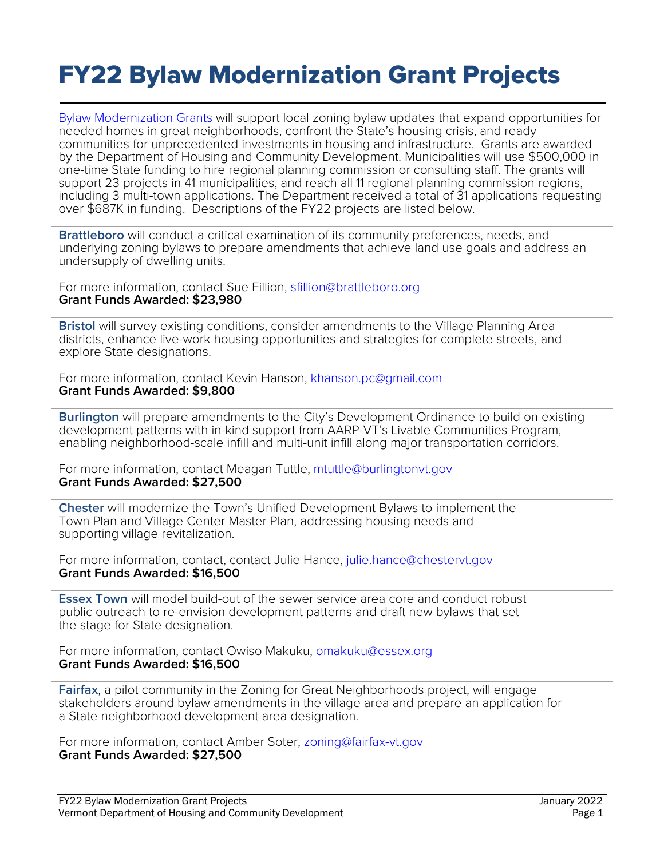## FY22 Bylaw Modernization Grant Projects

[Bylaw Modernization Grants](https://accd.vermont.gov/content/bylaw-modernization-grants) will support local zoning bylaw updates that expand opportunities for needed homes in great neighborhoods, confront the State's housing crisis, and ready communities for unprecedented investments in housing and infrastructure. Grants are awarded by the Department of Housing and Community Development. Municipalities will use \$500,000 in one-time State funding to hire regional planning commission or consulting staff. The grants will support 23 projects in 41 municipalities, and reach all 11 regional planning commission regions, including 3 multi-town applications. The Department received a total of 31 applications requesting over \$687K in funding. Descriptions of the FY22 projects are listed below.

**Brattleboro** will conduct a critical examination of its community preferences, needs, and underlying zoning bylaws to prepare amendments that achieve land use goals and address an undersupply of dwelling units.

For more information, contact Sue Fillion, [sfillion@brattleboro.org](mailto:sfillion@brattleboro.org) **Grant Funds Awarded: \$23,980**

**Bristol** will survey existing conditions, consider amendments to the Village Planning Area districts, enhance live-work housing opportunities and strategies for complete streets, and explore State designations.

For more information, contact Kevin Hanson, [khanson.pc@gmail.com](mailto:khanson.pc@gmail.com) **Grant Funds Awarded: \$9,800**

**Burlington** will prepare amendments to the City's Development Ordinance to build on existing development patterns with in-kind support from AARP-VT's Livable Communities Program, enabling neighborhood-scale infill and multi-unit infill along major transportation corridors.

For more information, contact Meagan Tuttle, [mtuttle@burlingtonvt.gov](mailto:mtuttle@burlingtonvt.gov) **Grant Funds Awarded: \$27,500**

**Chester** will modernize the Town's Unified Development Bylaws to implement the Town Plan and Village Center Master Plan, addressing housing needs and supporting village revitalization.

For more information, contact, contact Julie Hance, [julie.hance@chestervt.gov](mailto:julie.hance@chestervt.gov) **Grant Funds Awarded: \$16,500**

**Essex Town** will model build-out of the sewer service area core and conduct robust public outreach to re-envision development patterns and draft new bylaws that set the stage for State designation.

For more information, contact Owiso Makuku, [omakuku@essex.org](mailto:omakuku@essex.org) **Grant Funds Awarded: \$16,500**

**Fairfax**, a pilot community in the Zoning for Great Neighborhoods project, will engage stakeholders around bylaw amendments in the village area and prepare an application for a State neighborhood development area designation.

For more information, contact Amber Soter, [zoning@fairfax-vt.gov](mailto:zoning@fairfax-vt.gov) **Grant Funds Awarded: \$27,500**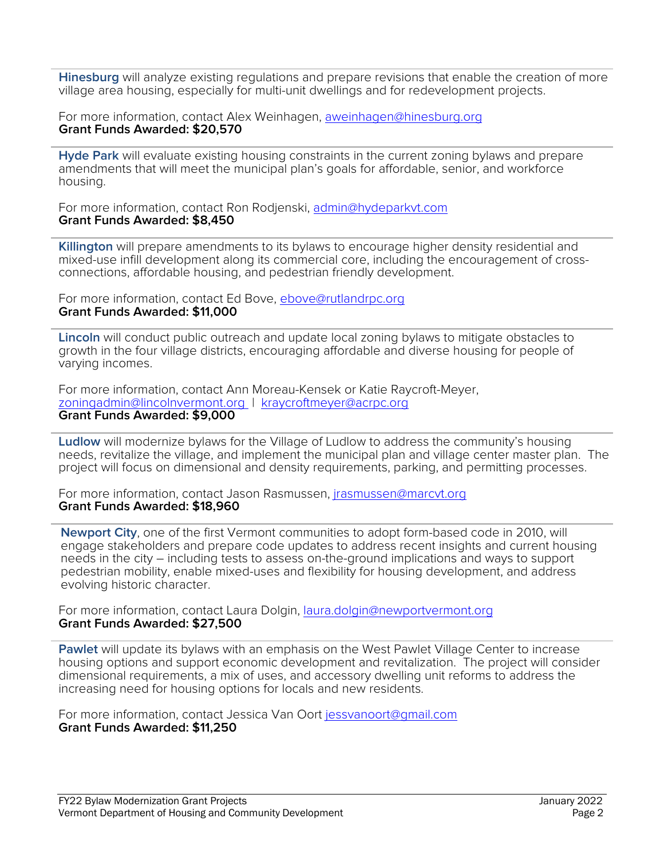**Hinesburg** will analyze existing regulations and prepare revisions that enable the creation of more village area housing, especially for multi-unit dwellings and for redevelopment projects.

For more information, contact Alex Weinhagen, [aweinhagen@hinesburg.org](mailto:aweinhagen@hinesburg.org) **Grant Funds Awarded: \$20,570**

**Hyde Park** will evaluate existing housing constraints in the current zoning bylaws and prepare amendments that will meet the municipal plan's goals for affordable, senior, and workforce housing.

For more information, contact Ron Rodjenski, [admin@hydeparkvt.com](mailto:admin@hydeparkvt.com) **Grant Funds Awarded: \$8,450**

**Killington** will prepare amendments to its bylaws to encourage higher density residential and mixed-use infill development along its commercial core, including the encouragement of crossconnections, affordable housing, and pedestrian friendly development.

For more information, contact Ed Bove, [ebove@rutlandrpc.org](mailto:ebove@rutlandrpc.org) **Grant Funds Awarded: \$11,000**

**Lincoln** will conduct public outreach and update local zoning bylaws to mitigate obstacles to growth in the four village districts, encouraging affordable and diverse housing for people of varying incomes.

For more information, contact Ann Moreau-Kensek or Katie Raycroft-Meyer, [zoningadmin@lincolnvermont.org](mailto:zoningadmin@lincolnvermont.org) | [kraycroftmeyer@acrpc.org](mailto:kraycroftmeyer@acrpc.org) **Grant Funds Awarded: \$9,000**

**Ludlow** will modernize bylaws for the Village of Ludlow to address the community's housing needs, revitalize the village, and implement the municipal plan and village center master plan. The project will focus on dimensional and density requirements, parking, and permitting processes.

For more information, contact Jason Rasmussen, [jrasmussen@marcvt.org](mailto:jrasmussen@marcvt.org) **Grant Funds Awarded: \$18,960**

**Newport City**, one of the first Vermont communities to adopt form-based code in 2010, will engage stakeholders and prepare code updates to address recent insights and current housing needs in the city – including tests to assess on-the-ground implications and ways to support pedestrian mobility, enable mixed-uses and flexibility for housing development, and address evolving historic character.

For more information, contact Laura Dolgin, [laura.dolgin@newportvermont.org](mailto:laura.dolgin@newportvermont.org) **Grant Funds Awarded: \$27,500**

**Pawlet** will update its bylaws with an emphasis on the West Pawlet Village Center to increase housing options and support economic development and revitalization. The project will consider dimensional requirements, a mix of uses, and accessory dwelling unit reforms to address the increasing need for housing options for locals and new residents.

For more information, contact Jessica Van Oort [jessvanoort@gmail.com](mailto:jessvanoort@gmail.com) **Grant Funds Awarded: \$11,250**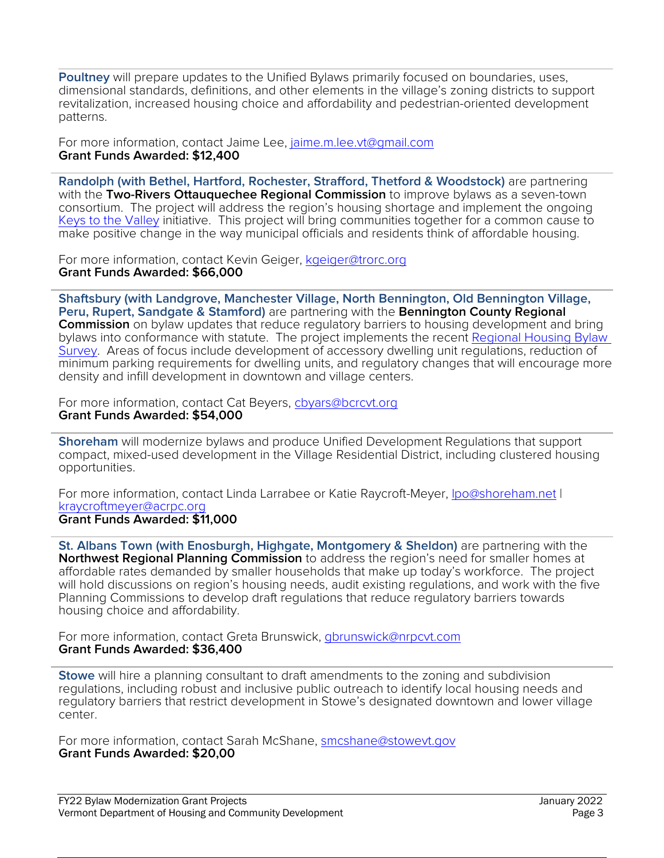**Poultney** will prepare updates to the Unified Bylaws primarily focused on boundaries, uses, dimensional standards, definitions, and other elements in the village's zoning districts to support revitalization, increased housing choice and affordability and pedestrian-oriented development patterns.

For more information, contact Jaime Lee, [jaime.m.lee.vt@gmail.com](mailto:jaime.m.lee.vt@gmail.com) **Grant Funds Awarded: \$12,400**

**Randolph (with Bethel, Hartford, Rochester, Strafford, Thetford & Woodstock)** are partnering with the **Two-Rivers Ottauquechee Regional Commission** to improve bylaws as a seven-town consortium. The project will address the region's housing shortage and implement the ongoing [Keys to the Valley](https://www.keystothevalley.com/) initiative. This project will bring communities together for a common cause to make positive change in the way municipal officials and residents think of affordable housing.

For more information, contact Kevin Geiger, [kgeiger@trorc.org](mailto:kgeiger@trorc.org) **Grant Funds Awarded: \$66,000**

**Shaftsbury (with Landgrove, Manchester Village, North Bennington, Old Bennington Village, Peru, Rupert, Sandgate & Stamford)** are partnering with the **Bennington County Regional Commission** on bylaw updates that reduce regulatory barriers to housing development and bring bylaws into conformance with statute. The project implements the recent Regional Housing Bylaw [Survey.](http://www.bcrcvt.org/uploads/1/1/1/8/111899771/bcrc_housingbylawsurvey2021_1.pdf) Areas of focus include development of accessory dwelling unit regulations, reduction of minimum parking requirements for dwelling units, and regulatory changes that will encourage more density and infill development in downtown and village centers.

For more information, contact Cat Beyers, [cbyars@bcrcvt.org](mailto:cbyars@bcrcvt.org) **Grant Funds Awarded: \$54,000**

**Shoreham** will modernize bylaws and produce Unified Development Regulations that support compact, mixed-used development in the Village Residential District, including clustered housing opportunities.

For more information, contact Linda Larrabee or Katie Raycroft-Meyer, Ipo@shoreham.net I [kraycroftmeyer@acrpc.org](mailto:kraycroftmeyer@acrpc.org) **Grant Funds Awarded: \$11,000**

**St. Albans Town (with Enosburgh, Highgate, Montgomery & Sheldon)** are partnering with the **Northwest Regional Planning Commission** to address the region's need for smaller homes at affordable rates demanded by smaller households that make up today's workforce. The project will hold discussions on region's housing needs, audit existing regulations, and work with the five Planning Commissions to develop draft regulations that reduce regulatory barriers towards housing choice and affordability.

For more information, contact Greta Brunswick, [gbrunswick@nrpcvt.com](mailto:gbrunswick@nrpcvt.com) **Grant Funds Awarded: \$36,400**

**Stowe** will hire a planning consultant to draft amendments to the zoning and subdivision regulations, including robust and inclusive public outreach to identify local housing needs and regulatory barriers that restrict development in Stowe's designated downtown and lower village center.

For more information, contact Sarah McShane, [smcshane@stowevt.gov](mailto:smcshane@stowevt.gov) **Grant Funds Awarded: \$20,00**